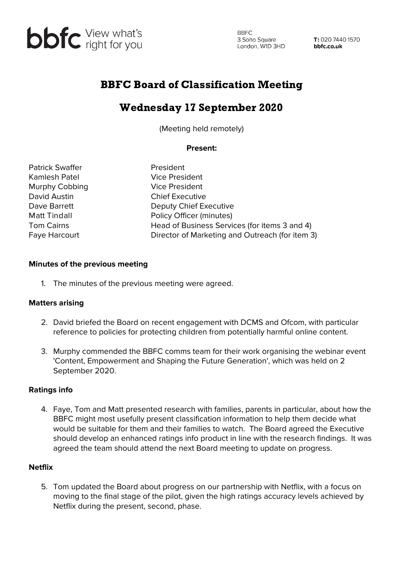

**BBFC** 3 Soho Square London, W1D 3HD

T: 020 7440 1570 bbfc.co.uk

## BBFC Board of Classification Meeting

# Wednesday 17 September 2020

(Meeting held remotely)

### **Present:**

Patrick Swaffer **President** Kamlesh Patel Vice President Murphy Cobbing **Vice President** David Austin Chief Executive

Dave Barrett Deputy Chief Executive Matt Tindall **Matt Tindall** Policy Officer (minutes) Tom Cairns **Head of Business Services (for items 3 and 4)** Faye Harcourt **Director of Marketing and Outreach (for item 3)** 

#### **Minutes of the previous meeting**

1. The minutes of the previous meeting were agreed.

### **Matters arising**

- 2. David briefed the Board on recent engagement with DCMS and Ofcom, with particular reference to policies for protecting children from potentially harmful online content.
- 3. Murphy commended the BBFC comms team for their work organising the webinar event 'Content, Empowerment and Shaping the Future Generation', which was held on 2 September 2020.

#### **Ratings info**

4. Faye, Tom and Matt presented research with families, parents in particular, about how the BBFC might most usefully present classification information to help them decide what would be suitable for them and their families to watch. The Board agreed the Executive should develop an enhanced ratings info product in line with the research findings. It was agreed the team should attend the next Board meeting to update on progress.

#### **Netflix**

5. Tom updated the Board about progress on our partnership with Netflix, with a focus on moving to the final stage of the pilot, given the high ratings accuracy levels achieved by Netflix during the present, second, phase.